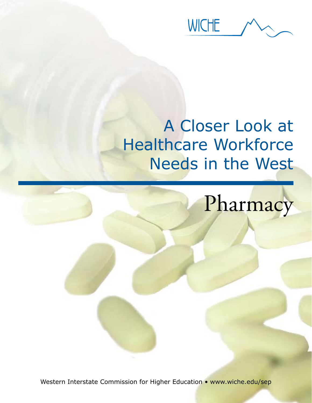**WICHE** 

## A Closer Look at Healthcare Workforce Needs in the West

# Pharmacy

Western Interstate Commission for Higher Education • www.wiche.edu/sep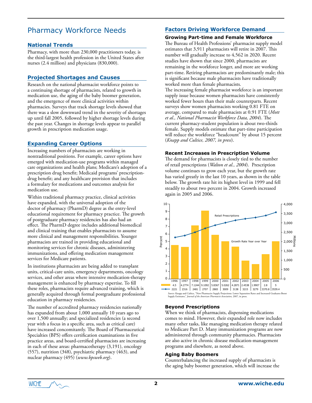### Pharmacy Workforce Needs

#### **National Trends**

Pharmacy, with more than 230,000 practitioners today, is the third-largest health profession in the United States after nurses (2.4 million) and physicians (830,000).

#### **Projected Shortages and Causes**

Research on the national pharmacist workforce points to a continuing shortage of pharmacists, related to growth in medication use, the aging of the baby boomer generation, and the emergence of more clinical activities within pharmacies. Surveys that track shortage levels showed that there was a slow downward trend in the severity of shortages up until fall 2005, followed by higher shortage levels during the past year. Changes in shortage levels appear to parallel growth in prescription medication usage.

#### **Expanding Career Options**

Increasing numbers of pharmacists are working in nontraditional positions. For example, career options have emerged with medication-use programs within managed care organizations and health plans; Medicare's adoption of a prescription drug benefit; Medicaid programs' prescriptiondrug benefit; and any healthcare provision that includes a formulary for medications and outcomes analysis for medication use.

Within traditional pharmacy practice, clinical activities have expanded, with the universal adoption of the doctor of pharmacy (PharmD) degree as the entry-level educational requirement for pharmacy practice. The growth of postgraduate pharmacy residencies has also had an effect. The PharmD degree includes additional biomedical and clinical training that enables pharmacists to assume more clinical and management responsibilities. Younger pharmacists are trained in providing educational and monitoring services for chronic diseases, administering immunizations, and offering medication management services for Medicare patients.

In institutions pharmacists are being added to transplant units, critical-care units, emergency departments, oncology services, and other areas where intensive medication-therapy management is enhanced by pharmacy expertise. To fill these roles, pharmacists require advanced training, which is generally acquired through formal postgraduate professional education in pharmacy residencies.

The number of accredited pharmacy residencies nationally has expanded from about 1,000 annually 10 years ago to over 1,500 annually; and specialized residencies (a second year with a focus in a specific area, such as critical care) have increased concomitantly. The Board of Pharmaceutical Specialties (BPS) offers certification examinations in five practice areas, and board-certified pharmacists are increasing in each of these areas: pharmacotherapy (3,191), oncology (557), nutrition (348), psychiatric pharmacy (463), and nuclear pharmacy (495) (*www.bpsweb.org*).

#### **Factors Driving Workforce Demand**

#### **Growing Part-time and Female Workforce**

The Bureau of Health Professions' pharmacist supply model estimates that 3,911 pharmacists will retire in 2007. This number will gradually increase to 4,562 in 2020. Recent studies have shown that since 2000, pharmacists are remaining in the workforce longer, and more are working part-time. Retiring pharmacists are predominantly male; this is significant because male pharmacists have traditionally worked more than female pharmacists.

The increasing female pharmacist workforce is an important supply issue because women pharmacists have consistently worked fewer hours than their male counterparts. Recent surveys show women pharmacists working 0.81 FTE on average, compared to male pharmacists at 0.91 FTE (*Mott et al., National Pharmacist Workforce Data, 2004*). The current pharmacy-student population is about two-thirds female. Supply models estimate that part-time participation will reduce the workforce "headcount" by about 15 percent (*Knapp and Cultice, 2007, in press*).

#### **Recent Increases in Prescription Volume**

The demand for pharmacists is closely tied to the number of retail prescriptions (*Walton et al., 2004*). Prescription volume continues to grow each year, but the growth rate has varied greatly in the last 10 years, as shown in the table below. The growth rate hit its highest level in 1999 and fell steadily to about two percent in 2004. Growth increased again in 2005 and 2006.



#### **Beyond Prescriptions**

When we think of pharmacists, dispensing medications comes to mind. However, their expanded role now includes many other tasks, like managing medication therapy related to Medicare Part D. Many immunization programs are now administered through community pharmacies. Pharmacists are also active in chronic disease medication-management programs and elsewhere, as noted above.

#### **Aging Baby Boomers**

Counterbalancing the increased supply of pharmacists is the aging baby boomer generation, which will increase the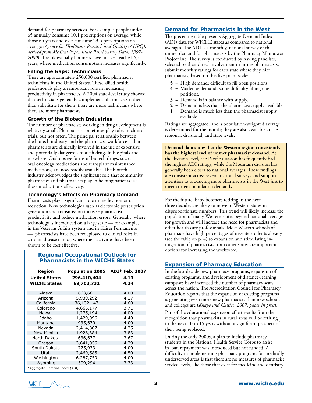demand for pharmacy services. For example, people under 65 annually consume 10.1 prescriptions on average, while those 65 years and over consume 23.5 prescriptions on average *(Agency for Healthcare Research and Quality (AHRQ), derived from Medical Expenditure Panel Survey Data, 1997- 2000*). The oldest baby boomers have not yet reached 65 years, where medication consumption increases significantly.

#### **Filling the Gaps: Technicians**

There are approximately 250,000 certified pharmacist technicians in the United States. These allied health professionals play an important role in increasing productivity in pharmacies. A 2004 state-level study showed that technicians generally complement pharmacists rather than substitute for them; there are more technicians where there are more pharmacists.

#### **Growth of the Biotech Industries**

The number of pharmacists working in drug development is relatively small. Pharmacists sometimes play roles in clinical trials, but not often. The principal relationship between the biotech industry and the pharmacist workforce is that pharmacists are clinically involved in the use of expensive and potentially dangerous biotech drugs in hospitals and elsewhere. Oral dosage forms of biotech drugs, such as oral oncology medications and transplant maintenance medications, are now readily available. The biotech industry acknowledges the significant role that community pharmacies and pharmacists play in helping patients use these medications effectively.

#### **Technology's Effects on Pharmacy Demand**

Pharmacists play a significant role in medication error reduction. New technologies such as electronic prescription generation and transmission increase pharmacist productivity and reduce medication errors. Generally, where technology is introduced on a large scale — for example, in the Veterans Affairs system and in Kaiser Permanente — pharmacists have been redeployed to clinical roles in chronic disease clinics, where their activities have been shown to be cost effective.

#### **Regional Occupational Outlook for Pharmacists in the WICHE States**

| Region                        | <b>Population 2005</b> | <b>ADI* Feb. 2007</b> |  |  |  |  |
|-------------------------------|------------------------|-----------------------|--|--|--|--|
| <b>United States</b>          | 296,410,404            | 4.13                  |  |  |  |  |
| <b>WICHE States</b>           | 69,703,732             | 4.34                  |  |  |  |  |
| Alaska                        | 663,661                | 4.00                  |  |  |  |  |
| Arizona                       | 5,939,292              | 4.17                  |  |  |  |  |
| California                    | 36,132,147             | 4.60                  |  |  |  |  |
| Colorado                      | 4,665,177              | 3.71                  |  |  |  |  |
| Hawaii                        | 1,275,194              | 4.00                  |  |  |  |  |
| Idaho                         | 1,429,096              | 4.40                  |  |  |  |  |
| Montana                       | 935,670                | 4.00                  |  |  |  |  |
| Nevada                        | 2,414,807              | 4.25                  |  |  |  |  |
| <b>New Mexico</b>             | 1,928,384              | 3.83                  |  |  |  |  |
| North Dakota                  | 636,677                | 3.67                  |  |  |  |  |
| Oregon                        | 3,641,056              | 4.29                  |  |  |  |  |
| South Dakota                  | 775,933                | 4.00                  |  |  |  |  |
| Utah                          | 2,469,585              | 4.50                  |  |  |  |  |
| Washington                    | 6,287,759              | 4.00                  |  |  |  |  |
| Wyoming                       | 509,294                | 3.33                  |  |  |  |  |
| *Aggregate Demand Index (ADI) |                        |                       |  |  |  |  |

#### **Demand for Pharmacists in the West**

The preceding table presents Aggregate Demand Index (ADI) data for WICHE states as compared to national averages. The ADI is a monthly, national survey of the unmet demand for pharmacists by the Pharmacy Manpower Project Inc. The survey is conducted by having panelists, selected by their direct involvement in hiring pharmacists, submit monthly ratings for each state where they hire pharmacists, based on this five-point scale:

- **5** = High demand; difficult to fill open positions.
- **4** = Moderate demand; some difficulty filling open positions.
- **3** = Demand is in balance with supply.
- **2** = Demand is less than the pharmacist supply available.
- **1** = Demand is much less than the pharmacist supply available.

Ratings are aggregated, and a population-weighted average is determined for the month; they are also available at the regional, divisional, and state levels.

**Demand data show that the Western region consistently has the highest level of unmet pharmacist demand.** At the division level, the Pacific division has frequently had the highest ADI ratings, while the Mountain division has generally been closer to national averages. These findings are consistent across several national surveys and support attention to producing more pharmacists in the West just to meet current population demands.

For the future, baby boomers retiring in the next three decades are likely to move to Western states in disproportionate numbers. This trend will likely increase the population of many Western states beyond national averages for growth and will increase the need for pharmacists and other health care professionals. Most Western schools of pharmacy have high percentages of in-state students already (see the table on p. 4) so expansion and stimulating inmigration of pharmacists from other states are important options for increasing the workforce.

#### **Expansion of Pharmacy Education**

In the last decade new pharmacy programs, expansion of existing programs, and development of distance-learning campuses have increased the number of pharmacy seats across the nation. The Accreditation Council for Pharmacy Education reports that the expansion of existing programs is generating even more new pharmacists than new schools and colleges are (*Knapp and Cultice, 2007, paper in press*).

Part of the educational expansion effort results from the recognition that pharmacists in rural areas will be retiring in the next 10 to 15 years without a significant prospect of their being replaced.

During the early 2000s, a plan to include pharmacy students in the National Health Service Corps to assist in loan repayment was introduced but not funded. A difficulty in implementing pharmacy programs for medically underserved areas is that there are no measures of pharmacist service levels, like those that exist for medicine and dentistry.